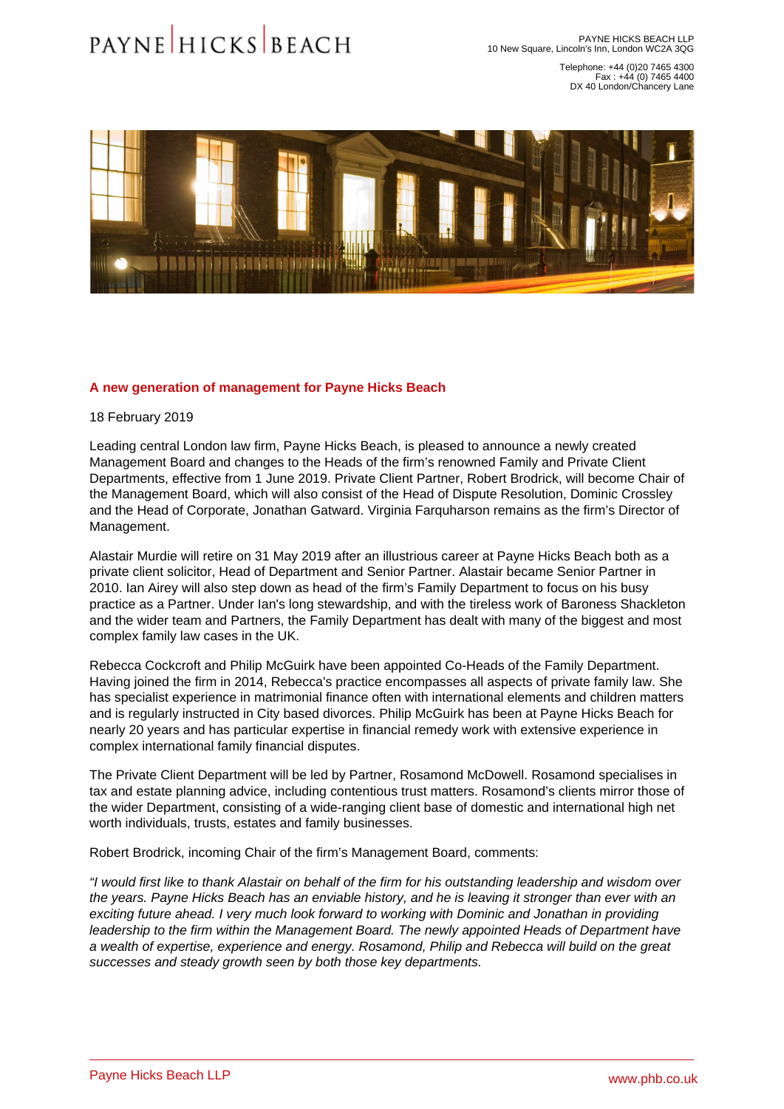Telephone: +44 (0)20 7465 4300 Fax : +44 (0) 7465 4400 DX 40 London/Chancery Lane

## A new generation of management for Payne Hicks Beach

18 February 2019

Leading central London law firm, Payne Hicks Beach, is pleased to announce a newly created Management Board and changes to the Heads of the firm's renowned Family and Private Client Departments, effective from 1 June 2019. Private Client Partner, [Robert Brodrick](�� h t t p s : / / w w w . p h b . c o . u k / o u r - p e o p l e / p r o f i l e / r o b e r t - b r o d r i c k), will become Chair of the Management Board, which will also consist of the Head of Dispute Resolution, [Dominic Crossley](�� h t t p s : / / w w w . p h b . c o . u k / o u r - p e o p l e / p r o f i l e / d o m i n i c - c r o s s l e y) and the Head of Corporate, [Jonathan Gatward.](�� h t t p s : / / w w w . p h b . c o . u k / o u r - p e o p l e / p r o f i l e / j o n a t h a n - g a t w a r d) Virginia Farquharson remains as the firm's Director of Management.

Alastair Murdie will retire on 31 May 2019 after an illustrious career at Payne Hicks Beach both as a private client solicitor, Head of Department and Senior Partner. Alastair became Senior Partner in 2010. Ian Airey will also step down as head of the firm's Family Department to focus on his busy practice as a Partner. Under Ian's long stewardship, and with the tireless work of Baroness Shackleton and the wider team and Partners, the Family Department has dealt with many of the biggest and most complex family law cases in the UK.

[Rebecca Cockcroft](�� h t t p s : / / w w w . p h b . c o . u k / o u r - p e o p l e / p r o f i l e / r e b e c c a - c o c k c r o f t) and [Philip McGuirk](�� h t t p s : / / w w w . p h b . c o . u k / o u r - p e o p l e / p r o f i l e / p h i l i p - m c g u i r k) have been appointed Co-Heads of the [Family Department](�� h t t p s : / / w w w . p h b . c o . u k / o u r - s e r v i c e s / f a m i l y). Having joined the firm in 2014, Rebecca's practice encompasses all aspects of private family law. She has specialist experience in matrimonial finance often with international elements and children matters and is regularly instructed in City based divorces. Philip McGuirk has been at Payne Hicks Beach for nearly 20 years and has particular expertise in financial remedy work with extensive experience in complex international family financial disputes.

The [Private Client Department](�� h t t p s : / / w w w . p h b . c o . u k / o u r - s e r v i c e s / p r i v a t e - c l i e n t) will be led by Partner, [Rosamond McDowell](�� h t t p s : / / w w w . p h b . c o . u k / o u r - p e o p l e / p r o f i l e / r o s a m o n d - m c d o w e l l). Rosamond specialises in tax and estate planning advice, including contentious trust matters. Rosamond's clients mirror those of the wider Department, consisting of a wide-ranging client base of domestic and international high net worth individuals, trusts, estates and family businesses.

Robert Brodrick, incoming Chair of the firm's Management Board, comments:

"I would first like to thank Alastair on behalf of the firm for his outstanding leadership and wisdom over the years. Payne Hicks Beach has an enviable history, and he is leaving it stronger than ever with an exciting future ahead. I very much look forward to working with Dominic and Jonathan in providing leadership to the firm within the Management Board. The newly appointed Heads of Department have a wealth of expertise, experience and energy. Rosamond, Philip and Rebecca will build on the great successes and steady growth seen by both those key departments.